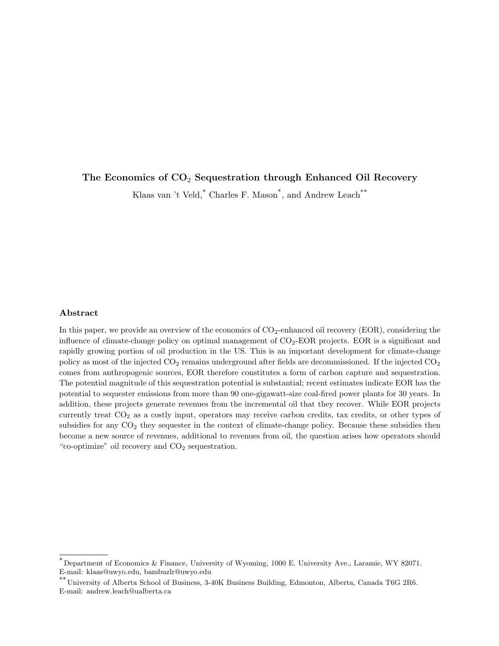# The Economics of  $CO<sub>2</sub>$  Sequestration through Enhanced Oil Recovery

Klaas van 't Veld,<sup>\*</sup> Charles F. Mason<sup>\*</sup>, and Andrew Leach<sup>\*\*</sup>

# Abstract

In this paper, we provide an overview of the economics of  $CO_2$ -enhanced oil recovery (EOR), considering the influence of climate-change policy on optimal management of  $CO<sub>2</sub>$ -EOR projects. EOR is a significant and rapidly growing portion of oil production in the US. This is an important development for climate-change policy as most of the injected  $CO_2$  remains underground after fields are decommissioned. If the injected  $CO_2$ comes from anthropogenic sources, EOR therefore constitutes a form of carbon capture and sequestration. The potential magnitude of this sequestration potential is substantial; recent estimates indicate EOR has the potential to sequester emissions from more than 90 one-gigawatt-size coal-fired power plants for 30 years. In addition, these projects generate revenues from the incremental oil that they recover. While EOR projects currently treat CO<sup>2</sup> as a costly input, operators may receive carbon credits, tax credits, or other types of subsidies for any  $CO<sub>2</sub>$  they sequester in the context of climate-change policy. Because these subsidies then become a new source of revenues, additional to revenues from oil, the question arises how operators should "co-optimize" oil recovery and  $CO<sub>2</sub>$  sequestration.

<sup>\*</sup> Department of Economics & Finance, University of Wyoming, 1000 E. University Ave., Laramie, WY 82071. E-mail: klaas@uwyo.edu, bambuzlr@uwyo.edu

<sup>\*\*</sup> University of Alberta School of Business, 3-40K Business Building, Edmonton, Alberta, Canada T6G 2R6. E-mail: andrew.leach@ualberta.ca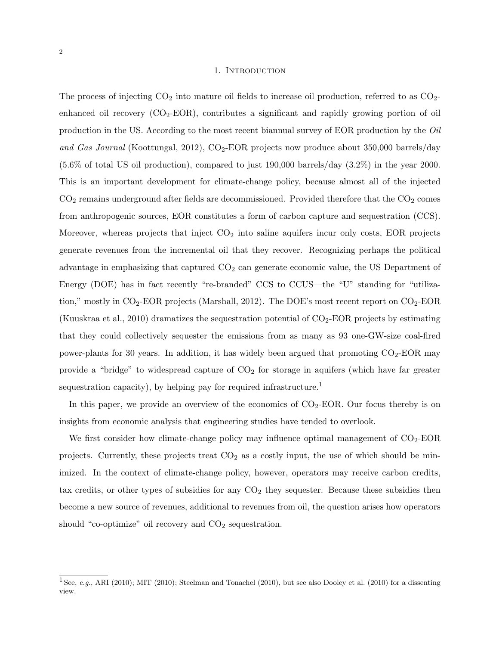### 1. INTRODUCTION

The process of injecting  $CO_2$  into mature oil fields to increase oil production, referred to as  $CO_2$ enhanced oil recovery  $(CO_2\text{-EOR})$ , contributes a significant and rapidly growing portion of oil production in the US. According to the most recent biannual survey of EOR production by the Oil and Gas Journal (Koottungal, 2012),  $CO<sub>2</sub>$ -EOR projects now produce about 350,000 barrels/day (5.6% of total US oil production), compared to just 190,000 barrels/day (3.2%) in the year 2000. This is an important development for climate-change policy, because almost all of the injected  $CO<sub>2</sub>$  remains underground after fields are decommissioned. Provided therefore that the  $CO<sub>2</sub>$  comes from anthropogenic sources, EOR constitutes a form of carbon capture and sequestration (CCS). Moreover, whereas projects that inject  $CO<sub>2</sub>$  into saline aquifers incur only costs, EOR projects generate revenues from the incremental oil that they recover. Recognizing perhaps the political advantage in emphasizing that captured  $CO<sub>2</sub>$  can generate economic value, the US Department of Energy (DOE) has in fact recently "re-branded" CCS to CCUS—the "U" standing for "utilization," mostly in  $CO_2$ -EOR projects (Marshall, 2012). The DOE's most recent report on  $CO_2$ -EOR (Kuuskraa et al., 2010) dramatizes the sequestration potential of  $CO<sub>2</sub>$ -EOR projects by estimating that they could collectively sequester the emissions from as many as 93 one-GW-size coal-fired power-plants for 30 years. In addition, it has widely been argued that promoting  $CO_2$ -EOR may provide a "bridge" to widespread capture of  $CO<sub>2</sub>$  for storage in aquifers (which have far greater sequestration capacity), by helping pay for required infrastructure.<sup>1</sup>

In this paper, we provide an overview of the economics of  $CO<sub>2</sub>-EOR$ . Our focus thereby is on insights from economic analysis that engineering studies have tended to overlook.

We first consider how climate-change policy may influence optimal management of  $CO_2$ -EOR projects. Currently, these projects treat  $CO<sub>2</sub>$  as a costly input, the use of which should be minimized. In the context of climate-change policy, however, operators may receive carbon credits, tax credits, or other types of subsidies for any  $CO<sub>2</sub>$  they sequester. Because these subsidies then become a new source of revenues, additional to revenues from oil, the question arises how operators should "co-optimize" oil recovery and  $CO<sub>2</sub>$  sequestration.

<sup>&</sup>lt;sup>1</sup> See, e.g., ARI (2010); MIT (2010); Steelman and Tonachel (2010), but see also Dooley et al. (2010) for a dissenting view.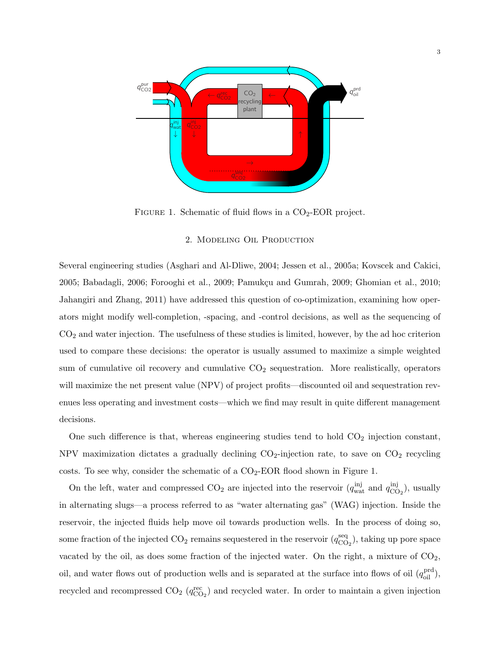

FIGURE 1. Schematic of fluid flows in a  $CO<sub>2</sub>$ -EOR project.

## 2. Modeling Oil Production

Several engineering studies (Asghari and Al-Dliwe, 2004; Jessen et al., 2005a; Kovscek and Cakici, 2005; Babadagli, 2006; Forooghi et al., 2009; Pamukçu and Gumrah, 2009; Ghomian et al., 2010; Jahangiri and Zhang, 2011) have addressed this question of co-optimization, examining how operators might modify well-completion, -spacing, and -control decisions, as well as the sequencing of  $CO<sub>2</sub>$  and water injection. The usefulness of these studies is limited, however, by the ad hoc criterion used to compare these decisions: the operator is usually assumed to maximize a simple weighted sum of cumulative oil recovery and cumulative  $CO<sub>2</sub>$  sequestration. More realistically, operators will maximize the net present value (NPV) of project profits—discounted oil and sequestration revenues less operating and investment costs—which we find may result in quite different management decisions.

One such difference is that, whereas engineering studies tend to hold  $CO<sub>2</sub>$  injection constant, NPV maximization dictates a gradually declining  $CO<sub>2</sub>$ -injection rate, to save on  $CO<sub>2</sub>$  recycling costs. To see why, consider the schematic of a  $CO<sub>2</sub>-EOR$  flood shown in Figure 1.

On the left, water and compressed  $CO_2$  are injected into the reservoir  $(q_{\text{wat}}^{\text{inj}})$  and  $q_{\text{CC}}^{\text{inj}}$  $\mathcal{C}_{\text{O}_2}^{\text{mJ}}$ , usually in alternating slugs—a process referred to as "water alternating gas" (WAG) injection. Inside the reservoir, the injected fluids help move oil towards production wells. In the process of doing so, some fraction of the injected  $CO_2$  remains sequestered in the reservoir  $(q_{CO}^{\text{seq}})$  $\frac{\text{seq}}{\text{CO}_2}$ ), taking up pore space vacated by the oil, as does some fraction of the injected water. On the right, a mixture of  $CO<sub>2</sub>$ , oil, and water flows out of production wells and is separated at the surface into flows of oil  $(q_{\text{oil}}^{\text{prd}})$ , recycled and recompressed  $CO_2$  ( $q_{CO_2}^{\text{rec}}$ ) and recycled water. In order to maintain a given injection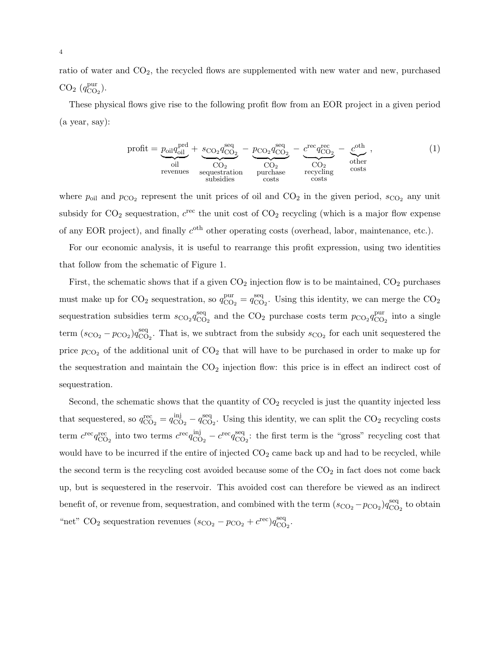ratio of water and  $CO<sub>2</sub>$ , the recycled flows are supplemented with new water and new, purchased  $CO<sub>2</sub>$  ( $q_{CO}^{\text{pur}}$  $_{\rm CO_2}^{\rm pur}$ ).

These physical flows give rise to the following profit flow from an EOR project in a given period (a year, say):

$$
profit = \underbrace{p_{oil}q_{oil}^{pred}}_{oil} + \underbrace{s_{CO_2}q_{CO_2}^{seq}}_{CO_2} - \underbrace{p_{CO_2}q_{CO_2}^{seq}}_{CO_2} - \underbrace{c^{rec}q_{CO_2}^{rec}}_{CO_2} - \underbrace{c^{oth}}_{other} ,
$$
\n
$$
u_{other}^{other} = \underbrace{p_{CO_2}q_{CO_2}^{seq}}_{subsidies} - \underbrace{c_{CO_2}q_{CO_2}^{seq}}_{costs} - \underbrace{c_{CO_2}q_{CO_2}^{orth}}_{costs} ,
$$
\n
$$
u_{other}^{other} = \underbrace{p_{CO_2}q_{CO_2}q_{CO_2}^{ren}}_{costs} - \underbrace{c_{CO_2}q_{CO_2}q_{CO_2}^{ren}}_{costs} ,
$$
\n
$$
u_{other}^{other} = \underbrace{p_{CO_2}q_{CO_2}q_{CO_2}q_{CO_2}^{ren}}_{costs} - \underbrace{c_{CO_2}q_{CO_2}q_{CO_2}q_{CO_2}^{ren}}_{costs} ,
$$
\n
$$
u_{other}^{other} = \underbrace{p_{CO_2}q_{CO_2}q_{CO_2}q_{CO_2}q_{CO_2}^{ren}}_{costs} - \underbrace{c_{CO_2}q_{CO_2}q_{CO_2}q_{CO_2}q_{CO_2}^{ren}}_{costs} ,
$$
\n
$$
u_{other}^{other} = \underbrace{p_{CO_2}q_{CO_2}q_{CO_2}q_{CO_2}q_{CO_2}q_{CO_2}^{ren}}_{costs} ,
$$
\n
$$
u_{other}^{other} = \underbrace{p_{CO_2}q_{CO_2}q_{CO_2}q_{CO_2}q_{CO_2}q_{CO_2}^{ren}}_{costs} ,
$$
\n
$$
u_{other}^{other} = \underbrace{p_{CO_2}q_{CO_2}q_{CO_2}q_{CO_2}q_{CO_2}q_{CO_2}^{ren}}_{costs} ,
$$
\n
$$
u_{other}^{other} = \underbrace{p_{CO_2}q_{CO_2}q_{CO_2}q_{CO_2}q_{CO_2}q_{CO_2}^{ren}}_{costs} ,
$$
\n
$$
u_{other}^{core} = \underbrace{p_{CO_2}q
$$

where  $p_{\text{oil}}$  and  $p_{\text{CO}_2}$  represent the unit prices of oil and  $\text{CO}_2$  in the given period,  $s_{\text{CO}_2}$  any unit subsidy for  $CO_2$  sequestration,  $c^{\text{rec}}$  the unit cost of  $CO_2$  recycling (which is a major flow expense of any EOR project), and finally  $c<sup>oth</sup>$  other operating costs (overhead, labor, maintenance, etc.).

For our economic analysis, it is useful to rearrange this profit expression, using two identities that follow from the schematic of Figure 1.

First, the schematic shows that if a given  $CO<sub>2</sub>$  injection flow is to be maintained,  $CO<sub>2</sub>$  purchases must make up for  $CO<sub>2</sub>$  sequestration, so  $q_{CO}^{pur}$  $_{\rm CO_2}^{\rm pur} = q_{\rm CO}^{\rm seq}$  ${}_{\text{CO}_2}^{\text{seq}}$ . Using this identity, we can merge the  $\text{CO}_2$ sequestration subsidies term  $s_{\text{CO}_2} q_{\text{CO}}^{\text{seq}}$  $^{seq}_{CO_2}$  and the  $CO_2$  purchase costs term  $p_{CO_2}q^{\text{pur}}_{\text{CO}}$  $_{\text{CO}_2}^{\text{pur}}$  into a single term  $(s_{\text{CO}_2} - p_{\text{CO}_2}) q_{\text{CO}}^{\text{seq}}$  $\frac{\text{seq}}{\text{CO}_2}$ . That is, we subtract from the subsidy  $s_{\text{CO}_2}$  for each unit sequestered the price  $p_{\text{CO}_2}$  of the additional unit of  $\text{CO}_2$  that will have to be purchased in order to make up for the sequestration and maintain the  $CO<sub>2</sub>$  injection flow: this price is in effect an indirect cost of sequestration.

Second, the schematic shows that the quantity of  $CO<sub>2</sub>$  recycled is just the quantity injected less that sequestered, so  $q_{\text{CO}_2}^{\text{rec}} = q_{\text{CC}}^{\text{inj}}$  $\frac{\text{inj}}{\text{CO}_2} - q_{\text{CO}}^{\text{seq}}$  ${}_{\text{CO}_2}^{\text{seq}}$ . Using this identity, we can split the  $CO_2$  recycling costs term  $c^{\text{rec}} q_{\text{CO}_2}^{\text{rec}}$  into two terms  $c^{\text{rec}} q_{\text{CC}}^{\text{inj}}$  $_{\rm CO_2}^{\rm inj} - c^{\rm rec} q_{\rm CO}^{\rm seq}$  $\frac{\text{seq}}{\text{CO}_2}$ : the first term is the "gross" recycling cost that would have to be incurred if the entire of injected  $CO<sub>2</sub>$  came back up and had to be recycled, while the second term is the recycling cost avoided because some of the  $CO<sub>2</sub>$  in fact does not come back up, but is sequestered in the reservoir. This avoided cost can therefore be viewed as an indirect benefit of, or revenue from, sequestration, and combined with the term  $(s_{\text{CO}_2} - p_{\text{CO}_2})q_{\text{CO}}^{\text{seq}}$  $_{\rm CO_2}^{\rm seq}$  to obtain "net" CO<sub>2</sub> sequestration revenues  $(s_{\text{CO}_2} - p_{\text{CO}_2} + c^{\text{rec}})q_{\text{CO}}^{\text{seq}}$ seq<br>CO<sub>2</sub>·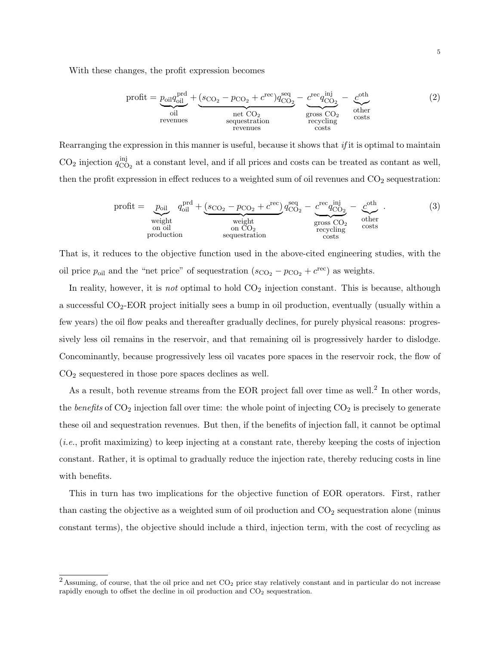With these changes, the profit expression becomes

$$
profit = \underbrace{p_{oil}q_{oil}^{prd}}_{oil} + \underbrace{(s_{CO_2} - p_{CO_2} + c^{rec})q_{CO_2}^{seq}}_{net CO_2} - \underbrace{c^{rec}q_{CO_2}^{inj}}_{cross CO_2} - \underbrace{c^{cth}}_{octs}^{other}
$$
\n
$$
(2)
$$
\n
$$
revenues
$$
\n
$$
costs
$$
\n
$$
costs
$$
\n
$$
costs
$$
\n
$$
costs
$$
\n
$$
1000
$$
\n
$$
11000
$$
\n
$$
12000
$$
\n
$$
13000
$$
\n
$$
14000
$$
\n
$$
15000
$$
\n
$$
16000
$$
\n
$$
17000
$$
\n
$$
18000
$$
\n
$$
19000
$$
\n
$$
19000
$$
\n
$$
19000
$$
\n
$$
19000
$$
\n
$$
19000
$$
\n
$$
19000
$$
\n
$$
19000
$$
\n
$$
19000
$$
\n
$$
19000
$$
\n
$$
19000
$$
\n
$$
19000
$$
\n
$$
19000
$$
\n
$$
19000
$$
\n
$$
19000
$$
\n
$$
19000
$$
\n
$$
19000
$$
\n
$$
19000
$$
\n
$$
19000
$$
\n
$$
19000
$$
\n
$$
19000
$$
\n
$$
19000
$$
\n
$$
19000
$$
\n
$$
19000
$$
\n
$$
19000
$$
\n
$$
19000
$$
\n
$$
19000
$$
\n
$$
19000
$$
\n
$$
19000
$$
\n
$$
19000
$$
\n
$$
19000
$$
\

Rearranging the expression in this manner is useful, because it shows that  $if$  it is optimal to maintain  $CO<sub>2</sub>$  injection  $q_{\rm CC}^{\rm inj}$  $\frac{m_1}{n_2}$  at a constant level, and if all prices and costs can be treated as contant as well, then the profit expression in effect reduces to a weighted sum of oil revenues and  $CO<sub>2</sub>$  sequestration:

$$
profit = \underbrace{p_{oil}}_{weight} q_{oil}^{pred} + \underbrace{(s_{CO_2} - p_{CO_2} + c^{rec})}_{weight} q_{CO_2}^{seq} - \underbrace{c^{rec} q_{CO_2}^{inj}}_{cross CO_2} - \underbrace{c^{other}}_{other}_{costs}.
$$
\n(3)  
\nproduction  
\n*equation*

That is, it reduces to the objective function used in the above-cited engineering studies, with the oil price  $p_{\text{oil}}$  and the "net price" of sequestration  $(s_{\text{CO}_2} - p_{\text{CO}_2} + c^{\text{rec}})$  as weights.

In reality, however, it is *not* optimal to hold  $CO<sub>2</sub>$  injection constant. This is because, although a successful CO2-EOR project initially sees a bump in oil production, eventually (usually within a few years) the oil flow peaks and thereafter gradually declines, for purely physical reasons: progressively less oil remains in the reservoir, and that remaining oil is progressively harder to dislodge. Concominantly, because progressively less oil vacates pore spaces in the reservoir rock, the flow of CO<sup>2</sup> sequestered in those pore spaces declines as well.

As a result, both revenue streams from the EOR project fall over time as well.<sup>2</sup> In other words, the benefits of  $CO_2$  injection fall over time: the whole point of injecting  $CO_2$  is precisely to generate these oil and sequestration revenues. But then, if the benefits of injection fall, it cannot be optimal (i.e., profit maximizing) to keep injecting at a constant rate, thereby keeping the costs of injection constant. Rather, it is optimal to gradually reduce the injection rate, thereby reducing costs in line with benefits.

This in turn has two implications for the objective function of EOR operators. First, rather than casting the objective as a weighted sum of oil production and  $CO<sub>2</sub>$  sequestration alone (minus constant terms), the objective should include a third, injection term, with the cost of recycling as

 $2$  Assuming, of course, that the oil price and net  $CO<sub>2</sub>$  price stay relatively constant and in particular do not increase rapidly enough to offset the decline in oil production and  $CO<sub>2</sub>$  sequestration.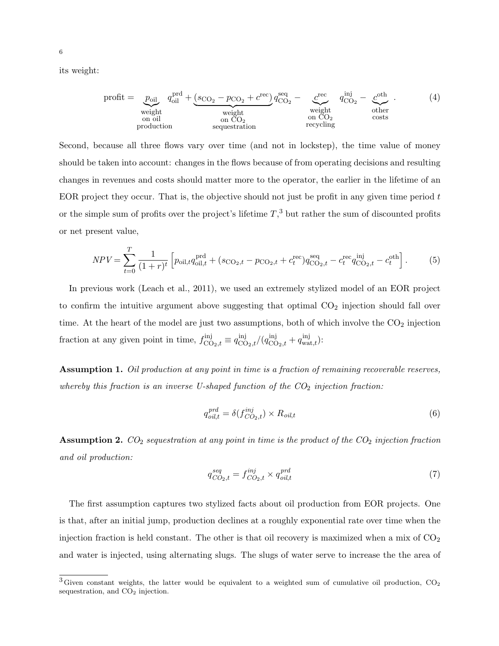its weight:

$$
profit = \underbrace{p_{oil}}_{weight} q_{oil}^{pred} + \underbrace{(s_{CO_2} - p_{CO_2} + c^{rec})}_{weight} q_{CO_2}^{seq} - \underbrace{c^{rec}}_{weight} q_{CO_2}^{inj} - \underbrace{c^{oth}}_{other}.
$$
\n(4)\n
$$
p_{I}^{eq} + \underbrace{(s_{CO_2} - p_{CO_2} + c^{rec})}_{model} q_{CO_2}^{seq} - \underbrace{c^{ct}}_{output} q_{CO_2}^{inj} - \underbrace{c^{oth}}_{other}.
$$
\n(5)

Second, because all three flows vary over time (and not in lockstep), the time value of money should be taken into account: changes in the flows because of from operating decisions and resulting changes in revenues and costs should matter more to the operator, the earlier in the lifetime of an EOR project they occur. That is, the objective should not just be profit in any given time period t or the simple sum of profits over the project's lifetime  $T<sup>3</sup>$ , but rather the sum of discounted profits or net present value,

$$
NPV = \sum_{t=0}^{T} \frac{1}{(1+r)^t} \left[ p_{\text{oil},t} q_{\text{oil},t}^{\text{prd}} + (s_{\text{CO}_2,t} - p_{\text{CO}_2,t} + c_t^{\text{rec}}) q_{\text{CO}_2,t}^{\text{seq}} - c_t^{\text{rec}} q_{\text{CO}_2,t}^{\text{inj}} - c_t^{\text{oth}} \right].
$$
 (5)

In previous work (Leach et al., 2011), we used an extremely stylized model of an EOR project to confirm the intuitive argument above suggesting that optimal  $CO<sub>2</sub>$  injection should fall over time. At the heart of the model are just two assumptions, both of which involve the  $CO<sub>2</sub>$  injection fraction at any given point in time,  $f_{\text{CO}_2,t}^{\text{inj}} \equiv q_{\text{CO}_2,t}^{\text{inj}}/(q_{\text{CO}_2,t}^{\text{inj}} + q_{\text{wat},t}^{\text{inj}})$ :

Assumption 1. Oil production at any point in time is a fraction of remaining recoverable reserves, whereby this fraction is an inverse U-shaped function of the  $CO<sub>2</sub>$  injection fraction:

$$
q_{oil,t}^{prd} = \delta(f_{CO_2,t}^{inj}) \times R_{oil,t}
$$
\n
$$
\tag{6}
$$

**Assumption 2.**  $CO_2$  sequestration at any point in time is the product of the  $CO_2$  injection fraction and oil production:

$$
q_{CO_2,t}^{seq} = f_{CO_2,t}^{inj} \times q_{oil,t}^{prd} \tag{7}
$$

The first assumption captures two stylized facts about oil production from EOR projects. One is that, after an initial jump, production declines at a roughly exponential rate over time when the injection fraction is held constant. The other is that oil recovery is maximized when a mix of  $CO<sub>2</sub>$ and water is injected, using alternating slugs. The slugs of water serve to increase the the area of

 $3$  Given constant weights, the latter would be equivalent to a weighted sum of cumulative oil production,  $CO<sub>2</sub>$ sequestration, and  $CO<sub>2</sub>$  injection.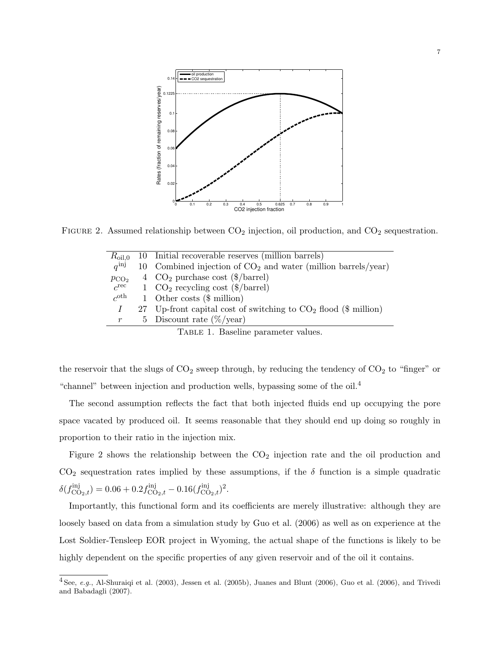

FIGURE 2. Assumed relationship between  $CO<sub>2</sub>$  injection, oil production, and  $CO<sub>2</sub>$  sequestration.

| $R_{\rm oil,0}$  | 10 Initial recoverable reserves (million barrels)                 |
|------------------|-------------------------------------------------------------------|
| $a^{inj}$        | 10 Combined injection of $CO2$ and water (million barrels/year)   |
| $p_{CO_2}$       | 4 $CO2$ purchase cost (\$/barrel)                                 |
| $c^{\rm rec}$    | 1 $CO_2$ recycling cost (\$/barrel)                               |
| $c^{\text{oth}}$ | 1 Other costs $(\$$ million)                                      |
|                  | 27 Up-front capital cost of switching to $CO2$ flood (\$ million) |
| $\,r\,$          | 5 Discount rate $(\%/year)$                                       |
|                  | TABLE 1. Baseline parameter values.                               |

the reservoir that the slugs of  $CO_2$  sweep through, by reducing the tendency of  $CO_2$  to "finger" or "channel" between injection and production wells, bypassing some of the oil.<sup>4</sup>

The second assumption reflects the fact that both injected fluids end up occupying the pore space vacated by produced oil. It seems reasonable that they should end up doing so roughly in proportion to their ratio in the injection mix.

Figure 2 shows the relationship between the  $CO<sub>2</sub>$  injection rate and the oil production and  $CO<sub>2</sub>$  sequestration rates implied by these assumptions, if the  $\delta$  function is a simple quadratic  $\delta(f^{\text{inj}}_{\text{CO}_2,t}) = 0.06 + 0.2 f^{\text{inj}}_{\text{CO}_2,t} - 0.16 (f^{\text{inj}}_{\text{CO}_2,t})^2.$ 

Importantly, this functional form and its coefficients are merely illustrative: although they are loosely based on data from a simulation study by Guo et al. (2006) as well as on experience at the Lost Soldier-Tensleep EOR project in Wyoming, the actual shape of the functions is likely to be highly dependent on the specific properties of any given reservoir and of the oil it contains.

 $4$  See, e.g., Al-Shuraiqi et al. (2003), Jessen et al. (2005b), Juanes and Blunt (2006), Guo et al. (2006), and Trivedi and Babadagli (2007).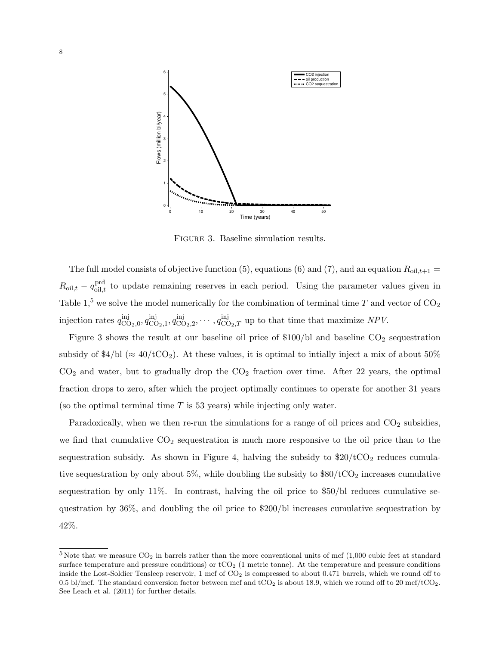

Figure 3. Baseline simulation results.

The full model consists of objective function (5), equations (6) and (7), and an equation  $R_{\text{oil},t+1}$  =  $R_{\text{oil},t} - q_{\text{oil},t}^{\text{prd}}$  to update remaining reserves in each period. Using the parameter values given in Table 1,<sup>5</sup> we solve the model numerically for the combination of terminal time T and vector of  $CO_2$ injection rates  $q_{\rm CC}^{\rm inj}$  $\lim\limits_{\text{CO}_2,0}, q^{\text{inj}}_{\text{CC}}$  $\lim_{\text{CO}_2,1}, q^{\text{inj}}_{\text{CC}}$  ${}_{\text{CO}_2,2}^{\text{inj}}, \cdots, q_{\text{CO}_2,T}^{\text{inj}}$  up to that time that maximize NPV.

Figure 3 shows the result at our baseline oil price of  $$100/b$ l and baseline CO<sub>2</sub> sequestration subsidy of  $4/bl \approx 40/tCO_2$ . At these values, it is optimal to intially inject a mix of about 50%  $CO<sub>2</sub>$  and water, but to gradually drop the  $CO<sub>2</sub>$  fraction over time. After 22 years, the optimal fraction drops to zero, after which the project optimally continues to operate for another 31 years (so the optimal terminal time  $T$  is 53 years) while injecting only water.

Paradoxically, when we then re-run the simulations for a range of oil prices and  $CO<sub>2</sub>$  subsidies, we find that cumulative  $CO<sub>2</sub>$  sequestration is much more responsive to the oil price than to the sequestration subsidy. As shown in Figure 4, halving the subsidy to  $$20/tCO<sub>2</sub>$  reduces cumulative sequestration by only about 5%, while doubling the subsidy to  $$80/tCO<sub>2</sub>$  increases cumulative sequestration by only  $11\%$ . In contrast, halving the oil price to  $$50/b$  reduces cumulative sequestration by 36%, and doubling the oil price to \$200/bl increases cumulative sequestration by 42%.

 $5$  Note that we measure CO<sub>2</sub> in barrels rather than the more conventional units of mcf (1,000 cubic feet at standard surface temperature and pressure conditions) or  $tCO<sub>2</sub>$  (1 metric tonne). At the temperature and pressure conditions inside the Lost-Soldier Tensleep reservoir,  $1 \text{ mcf of CO}_2$  is compressed to about 0.471 barrels, which we round off to 0.5 bl/mcf. The standard conversion factor between mcf and  $tCO_2$  is about 18.9, which we round off to 20 mcf/tCO<sub>2</sub>. See Leach et al. (2011) for further details.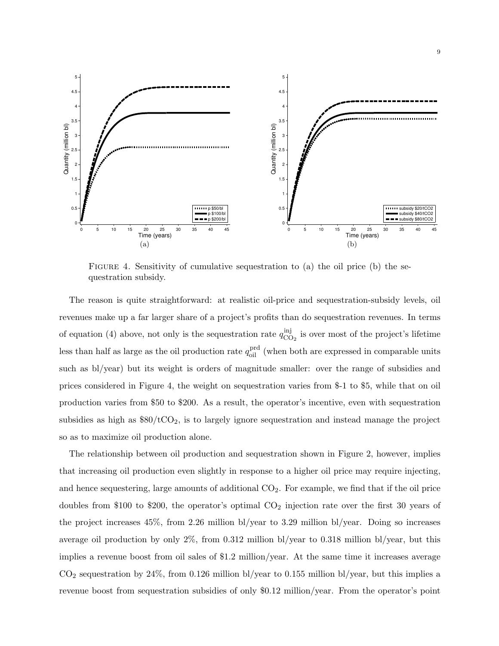

FIGURE 4. Sensitivity of cumulative sequestration to (a) the oil price (b) the sequestration subsidy.

The reason is quite straightforward: at realistic oil-price and sequestration-subsidy levels, oil revenues make up a far larger share of a project's profits than do sequestration revenues. In terms of equation (4) above, not only is the sequestration rate  $q_{\rm CC}^{\rm inj}$  $\frac{m_1}{n_2}$  is over most of the project's lifetime less than half as large as the oil production rate  $q_{\text{oil}}^{\text{prd}}$  (when both are expressed in comparable units such as bl/year) but its weight is orders of magnitude smaller: over the range of subsidies and prices considered in Figure 4, the weight on sequestration varies from \$-1 to \$5, while that on oil production varies from \$50 to \$200. As a result, the operator's incentive, even with sequestration subsidies as high as  $$80/tCO<sub>2</sub>$ , is to largely ignore sequestration and instead manage the project so as to maximize oil production alone.

The relationship between oil production and sequestration shown in Figure 2, however, implies that increasing oil production even slightly in response to a higher oil price may require injecting, and hence sequestering, large amounts of additional  $CO<sub>2</sub>$ . For example, we find that if the oil price doubles from \$100 to \$200, the operator's optimal  $CO<sub>2</sub>$  injection rate over the first 30 years of the project increases 45%, from 2.26 million bl/year to 3.29 million bl/year. Doing so increases average oil production by only 2%, from 0.312 million bl/year to 0.318 million bl/year, but this implies a revenue boost from oil sales of \$1.2 million/year. At the same time it increases average  $CO<sub>2</sub>$  sequestration by 24%, from 0.126 million bl/year to 0.155 million bl/year, but this implies a revenue boost from sequestration subsidies of only \$0.12 million/year. From the operator's point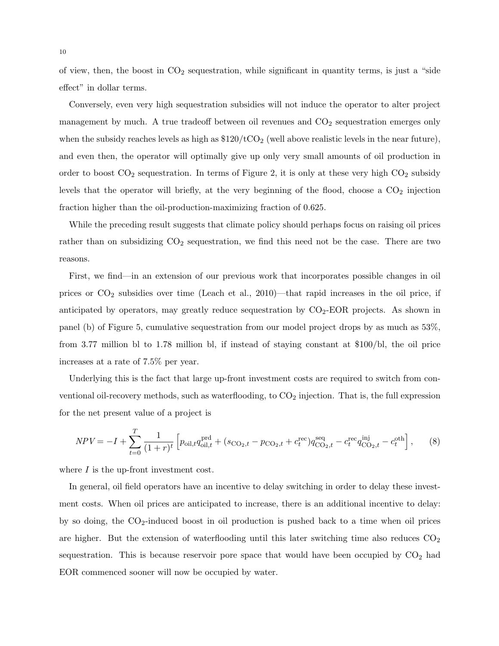of view, then, the boost in  $CO<sub>2</sub>$  sequestration, while significant in quantity terms, is just a "side effect" in dollar terms.

Conversely, even very high sequestration subsidies will not induce the operator to alter project management by much. A true tradeoff between oil revenues and  $CO<sub>2</sub>$  sequestration emerges only when the subsidy reaches levels as high as  $$120/tCO<sub>2</sub>$  (well above realistic levels in the near future), and even then, the operator will optimally give up only very small amounts of oil production in order to boost  $CO_2$  sequestration. In terms of Figure 2, it is only at these very high  $CO_2$  subsidy levels that the operator will briefly, at the very beginning of the flood, choose a  $CO<sub>2</sub>$  injection fraction higher than the oil-production-maximizing fraction of 0.625.

While the preceding result suggests that climate policy should perhaps focus on raising oil prices rather than on subsidizing  $CO<sub>2</sub>$  sequestration, we find this need not be the case. There are two reasons.

First, we find—in an extension of our previous work that incorporates possible changes in oil prices or  $CO_2$  subsidies over time (Leach et al., 2010)—that rapid increases in the oil price, if anticipated by operators, may greatly reduce sequestration by  $CO<sub>2</sub>-EOR$  projects. As shown in panel (b) of Figure 5, cumulative sequestration from our model project drops by as much as 53%, from 3.77 million bl to 1.78 million bl, if instead of staying constant at \$100/bl, the oil price increases at a rate of 7.5% per year.

Underlying this is the fact that large up-front investment costs are required to switch from conventional oil-recovery methods, such as waterflooding, to  $CO<sub>2</sub>$  injection. That is, the full expression for the net present value of a project is

$$
NPV = -I + \sum_{t=0}^{T} \frac{1}{(1+r)^t} \left[ p_{\text{oil},t} q_{\text{oil},t}^{\text{prd}} + (s_{\text{CO}_2,t} - p_{\text{CO}_2,t} + c_t^{\text{rec}}) q_{\text{CO}_2,t}^{\text{seq}} - c_t^{\text{rec}} q_{\text{CO}_2,t}^{\text{inj}} - c_t^{\text{oth}} \right], \tag{8}
$$

where  $I$  is the up-front investment cost.

In general, oil field operators have an incentive to delay switching in order to delay these investment costs. When oil prices are anticipated to increase, there is an additional incentive to delay: by so doing, the CO2-induced boost in oil production is pushed back to a time when oil prices are higher. But the extension of waterflooding until this later switching time also reduces  $CO<sub>2</sub>$ sequestration. This is because reservoir pore space that would have been occupied by  $CO<sub>2</sub>$  had EOR commenced sooner will now be occupied by water.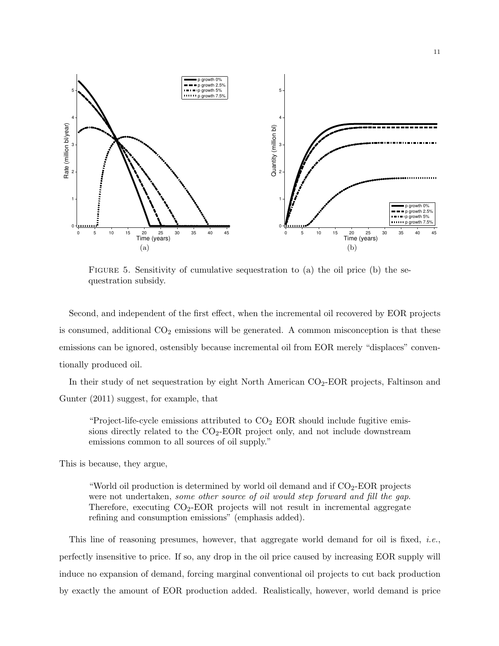

FIGURE 5. Sensitivity of cumulative sequestration to (a) the oil price (b) the sequestration subsidy.

Second, and independent of the first effect, when the incremental oil recovered by EOR projects is consumed, additional  $CO<sub>2</sub>$  emissions will be generated. A common misconception is that these emissions can be ignored, ostensibly because incremental oil from EOR merely "displaces" conventionally produced oil.

In their study of net sequestration by eight North American  $CO<sub>2</sub>-EOR$  projects, Faltinson and Gunter (2011) suggest, for example, that

"Project-life-cycle emissions attributed to  $CO<sub>2</sub>$  EOR should include fugitive emissions directly related to the CO2-EOR project only, and not include downstream emissions common to all sources of oil supply."

This is because, they argue,

"World oil production is determined by world oil demand and if  $CO<sub>2</sub>$ -EOR projects were not undertaken, some other source of oil would step forward and fill the gap. Therefore, executing  $CO<sub>2</sub>$ -EOR projects will not result in incremental aggregate refining and consumption emissions" (emphasis added).

This line of reasoning presumes, however, that aggregate world demand for oil is fixed, *i.e.*, perfectly insensitive to price. If so, any drop in the oil price caused by increasing EOR supply will induce no expansion of demand, forcing marginal conventional oil projects to cut back production by exactly the amount of EOR production added. Realistically, however, world demand is price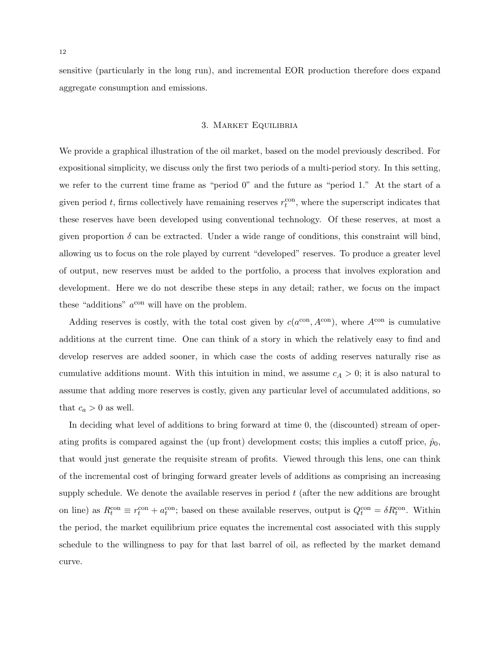sensitive (particularly in the long run), and incremental EOR production therefore does expand aggregate consumption and emissions.

# 3. Market Equilibria

We provide a graphical illustration of the oil market, based on the model previously described. For expositional simplicity, we discuss only the first two periods of a multi-period story. In this setting, we refer to the current time frame as "period 0" and the future as "period 1." At the start of a given period t, firms collectively have remaining reserves  $r_t^{\text{con}}$ , where the superscript indicates that these reserves have been developed using conventional technology. Of these reserves, at most a given proportion  $\delta$  can be extracted. Under a wide range of conditions, this constraint will bind, allowing us to focus on the role played by current "developed" reserves. To produce a greater level of output, new reserves must be added to the portfolio, a process that involves exploration and development. Here we do not describe these steps in any detail; rather, we focus on the impact these "additions"  $a^{\text{con}}$  will have on the problem.

Adding reserves is costly, with the total cost given by  $c(a^{\text{con}}, A^{\text{con}})$ , where  $A^{\text{con}}$  is cumulative additions at the current time. One can think of a story in which the relatively easy to find and develop reserves are added sooner, in which case the costs of adding reserves naturally rise as cumulative additions mount. With this intuition in mind, we assume  $c_A > 0$ ; it is also natural to assume that adding more reserves is costly, given any particular level of accumulated additions, so that  $c_a > 0$  as well.

In deciding what level of additions to bring forward at time 0, the (discounted) stream of operating profits is compared against the (up front) development costs; this implies a cutoff price,  $\hat{p}_0$ , that would just generate the requisite stream of profits. Viewed through this lens, one can think of the incremental cost of bringing forward greater levels of additions as comprising an increasing supply schedule. We denote the available reserves in period  $t$  (after the new additions are brought on line) as  $R_t^{\text{con}} \equiv r_t^{\text{con}} + a_t^{\text{con}}$ ; based on these available reserves, output is  $Q_t^{\text{con}} = \delta R_t^{\text{con}}$ . Within the period, the market equilibrium price equates the incremental cost associated with this supply schedule to the willingness to pay for that last barrel of oil, as reflected by the market demand curve.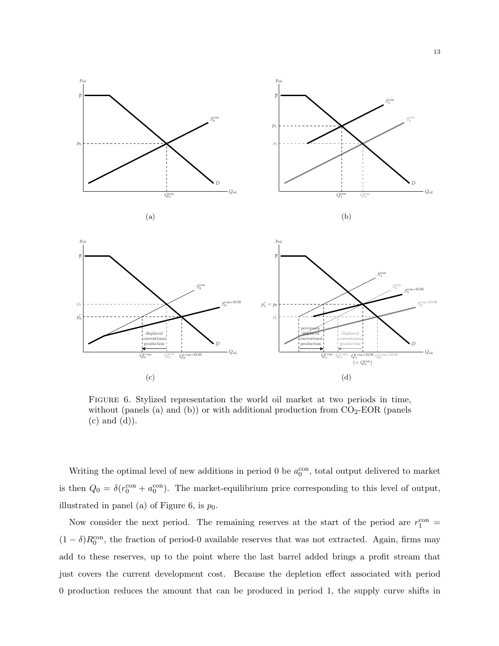

Figure 6. Stylized representation the world oil market at two periods in time, without (panels (a) and (b)) or with additional production from  $CO<sub>2</sub>-EOR$  (panels (c) and (d)).

Writing the optimal level of new additions in period 0 be  $a_0^{\text{con}}$ , total output delivered to market is then  $Q_0 = \delta(r_0^{\text{con}} + a_0^{\text{con}})$ . The market-equilibrium price corresponding to this level of output, illustrated in panel (a) of Figure 6, is  $p_0$ .

Now consider the next period. The remaining reserves at the start of the period are  $r_1^{\text{con}}$  $(1 - \delta)R_0^{\text{con}}$ , the fraction of period-0 available reserves that was not extracted. Again, firms may add to these reserves, up to the point where the last barrel added brings a profit stream that just covers the current development cost. Because the depletion effect associated with period 0 production reduces the amount that can be produced in period 1, the supply curve shifts in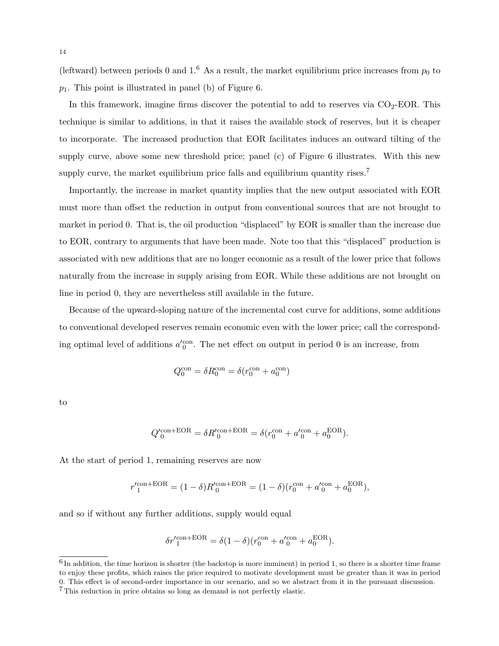(leftward) between periods 0 and 1.<sup>6</sup> As a result, the market equilibrium price increases from  $p_0$  to  $p_1$ . This point is illustrated in panel (b) of Figure 6.

In this framework, imagine firms discover the potential to add to reserves via  $CO<sub>2</sub>-EOR$ . This technique is similar to additions, in that it raises the available stock of reserves, but it is cheaper to incorporate. The increased production that EOR facilitates induces an outward tilting of the supply curve, above some new threshold price; panel (c) of Figure 6 illustrates. With this new supply curve, the market equilibrium price falls and equilibrium quantity rises.<sup>7</sup>

Importantly, the increase in market quantity implies that the new output associated with EOR must more than offset the reduction in output from conventional sources that are not brought to market in period 0. That is, the oil production "displaced" by EOR is smaller than the increase due to EOR, contrary to arguments that have been made. Note too that this "displaced" production is associated with new additions that are no longer economic as a result of the lower price that follows naturally from the increase in supply arising from EOR. While these additions are not brought on line in period 0, they are nevertheless still available in the future.

Because of the upward-sloping nature of the incremental cost curve for additions, some additions to conventional developed reserves remain economic even with the lower price; call the corresponding optimal level of additions  $a_0^{\prime \text{con}}$ . The net effect on output in period 0 is an increase, from

$$
Q_0^{\rm con} = \delta R_0^{\rm con} = \delta (r_0^{\rm con} + a_0^{\rm con})
$$

to

$$
Q^{\prime\mathrm{con+EOR}}_0=\delta R^{\prime\mathrm{con+EOR}}_0=\delta(r^{\mathrm{con}}_0+a^{\prime\mathrm{con}}_0+a^{\mathrm{EOR}}_0).
$$

At the start of period 1, remaining reserves are now

$$
r_1'^{\text{con}+\text{EOR}} = (1-\delta)R_0'^{\text{con}+\text{EOR}} = (1-\delta)(r_0^{\text{con}} + a_0'^{\text{con}} + a_0^{\text{EOR}}),
$$

and so if without any further additions, supply would equal

$$
\delta r'^{\mathrm{con+EOR}}_1=\delta(1-\delta)(r^{\mathrm{con}}_0+a'^{\mathrm{con}}_0+a^{\mathrm{EOR}}_0).
$$

 $<sup>6</sup>$  In addition, the time horizon is shorter (the backstop is more imminent) in period 1, so there is a shorter time frame</sup> to enjoy these profits, which raises the price required to motivate development must be greater than it was in period 0. This effect is of second-order importance in our scenario, and so we abstract from it in the pursuant discussion.

<sup>7</sup> This reduction in price obtains so long as demand is not perfectly elastic.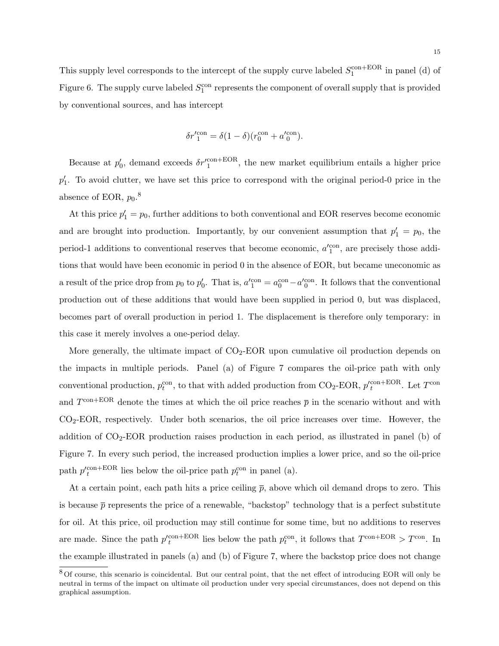This supply level corresponds to the intercept of the supply curve labeled  $S_1^{\text{con}+\text{EOR}}$  in panel (d) of Figure 6. The supply curve labeled  $S_1^{\text{con}}$  represents the component of overall supply that is provided by conventional sources, and has intercept

$$
\delta r'^{\rm con}_1 = \delta (1-\delta) (r^{\rm con}_0 + a'^{\rm con}_0).
$$

Because at  $p'_0$ , demand exceeds  $\delta r'^{\text{con+EOR}}_1$ , the new market equilibrium entails a higher price  $p'_1$ . To avoid clutter, we have set this price to correspond with the original period-0 price in the absence of EOR,  $p_0$ .<sup>8</sup>

At this price  $p'_1 = p_0$ , further additions to both conventional and EOR reserves become economic and are brought into production. Importantly, by our convenient assumption that  $p'_1 = p_0$ , the period-1 additions to conventional reserves that become economic,  $a'_{1}^{\text{con}}$ , are precisely those additions that would have been economic in period 0 in the absence of EOR, but became uneconomic as a result of the price drop from  $p_0$  to  $p'_0$ . That is,  $a'_1^{\text{con}} = a_0^{\text{con}} - a'_0^{\text{con}}$ . It follows that the conventional production out of these additions that would have been supplied in period 0, but was displaced, becomes part of overall production in period 1. The displacement is therefore only temporary: in this case it merely involves a one-period delay.

More generally, the ultimate impact of  $CO<sub>2</sub>-EOR$  upon cumulative oil production depends on the impacts in multiple periods. Panel (a) of Figure 7 compares the oil-price path with only conventional production,  $p_t^{\text{con}}$ , to that with added production from CO<sub>2</sub>-EOR,  $p_t^{\prime \text{con}+\text{EOR}}$ . Let  $T^{\text{con}}$ and  $T^{\text{con+EOR}}$  denote the times at which the oil price reaches  $\bar{p}$  in the scenario without and with CO2-EOR, respectively. Under both scenarios, the oil price increases over time. However, the addition of  $CO<sub>2</sub>-EOR$  production raises production in each period, as illustrated in panel (b) of Figure 7. In every such period, the increased production implies a lower price, and so the oil-price path  $p_t^{\text{con+EOR}}$  lies below the oil-price path  $p_t^{\text{con}}$  in panel (a).

At a certain point, each path hits a price ceiling  $\bar{p}$ , above which oil demand drops to zero. This is because  $\bar{p}$  represents the price of a renewable, "backstop" technology that is a perfect substitute for oil. At this price, oil production may still continue for some time, but no additions to reserves are made. Since the path  $p_t^{\text{con+EOR}}$  lies below the path  $p_t^{\text{con}}$ , it follows that  $T^{\text{con+EOR}} > T^{\text{con}}$ . In the example illustrated in panels (a) and (b) of Figure 7, where the backstop price does not change

<sup>8</sup> Of course, this scenario is coincidental. But our central point, that the net effect of introducing EOR will only be neutral in terms of the impact on ultimate oil production under very special circumstances, does not depend on this graphical assumption.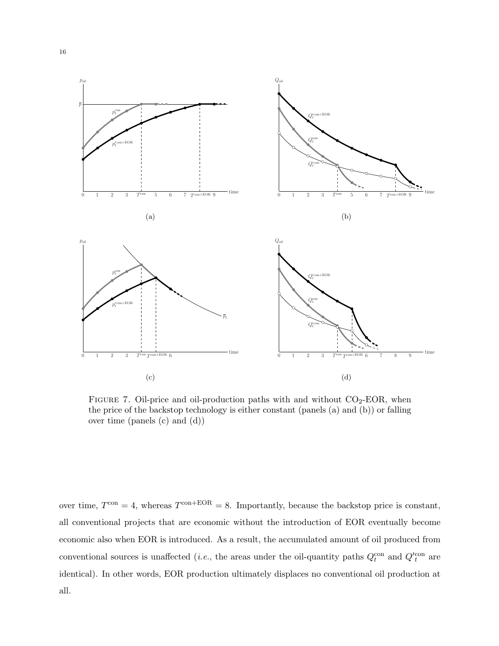

FIGURE 7. Oil-price and oil-production paths with and without  $CO<sub>2</sub>-EOR$ , when the price of the backstop technology is either constant (panels (a) and (b)) or falling over time (panels (c) and (d))

over time,  $T^{\text{con}} = 4$ , whereas  $T^{\text{con}+\text{EOR}} = 8$ . Importantly, because the backstop price is constant, all conventional projects that are economic without the introduction of EOR eventually become economic also when EOR is introduced. As a result, the accumulated amount of oil produced from conventional sources is unaffected (*i.e.*, the areas under the oil-quantity paths  $Q_t^{\text{con}}$  and  $Q_t^{\prime \text{con}}$  are identical). In other words, EOR production ultimately displaces no conventional oil production at all.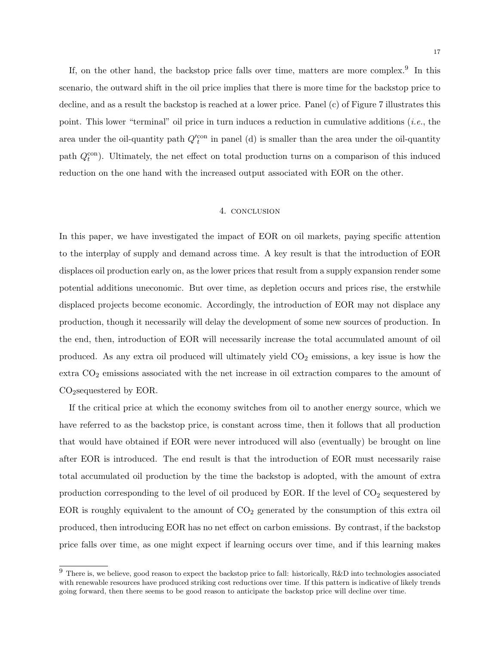If, on the other hand, the backstop price falls over time, matters are more complex.<sup>9</sup> In this scenario, the outward shift in the oil price implies that there is more time for the backstop price to decline, and as a result the backstop is reached at a lower price. Panel (c) of Figure 7 illustrates this point. This lower "terminal" oil price in turn induces a reduction in cumulative additions (*i.e.*, the area under the oil-quantity path  $Q_{t}^{\prime \text{con}}$  in panel (d) is smaller than the area under the oil-quantity path  $Q_t^{\text{con}}$ ). Ultimately, the net effect on total production turns on a comparison of this induced reduction on the one hand with the increased output associated with EOR on the other.

#### 4. conclusion

In this paper, we have investigated the impact of EOR on oil markets, paying specific attention to the interplay of supply and demand across time. A key result is that the introduction of EOR displaces oil production early on, as the lower prices that result from a supply expansion render some potential additions uneconomic. But over time, as depletion occurs and prices rise, the erstwhile displaced projects become economic. Accordingly, the introduction of EOR may not displace any production, though it necessarily will delay the development of some new sources of production. In the end, then, introduction of EOR will necessarily increase the total accumulated amount of oil produced. As any extra oil produced will ultimately yield  $CO<sub>2</sub>$  emissions, a key issue is how the extra  $CO<sub>2</sub>$  emissions associated with the net increase in oil extraction compares to the amount of CO2sequestered by EOR.

If the critical price at which the economy switches from oil to another energy source, which we have referred to as the backstop price, is constant across time, then it follows that all production that would have obtained if EOR were never introduced will also (eventually) be brought on line after EOR is introduced. The end result is that the introduction of EOR must necessarily raise total accumulated oil production by the time the backstop is adopted, with the amount of extra production corresponding to the level of oil produced by EOR. If the level of  $CO<sub>2</sub>$  sequestered by EOR is roughly equivalent to the amount of  $CO<sub>2</sub>$  generated by the consumption of this extra oil produced, then introducing EOR has no net effect on carbon emissions. By contrast, if the backstop price falls over time, as one might expect if learning occurs over time, and if this learning makes

 $9$  There is, we believe, good reason to expect the backstop price to fall: historically, R&D into technologies associated with renewable resources have produced striking cost reductions over time. If this pattern is indicative of likely trends going forward, then there seems to be good reason to anticipate the backstop price will decline over time.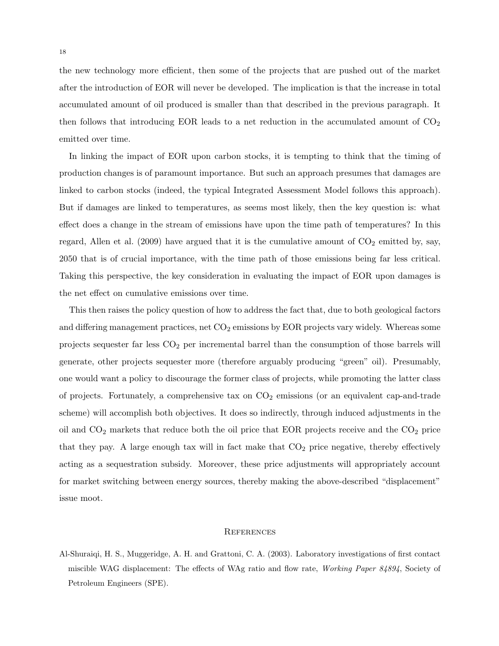the new technology more efficient, then some of the projects that are pushed out of the market after the introduction of EOR will never be developed. The implication is that the increase in total accumulated amount of oil produced is smaller than that described in the previous paragraph. It then follows that introducing EOR leads to a net reduction in the accumulated amount of  $CO<sub>2</sub>$ emitted over time.

In linking the impact of EOR upon carbon stocks, it is tempting to think that the timing of production changes is of paramount importance. But such an approach presumes that damages are linked to carbon stocks (indeed, the typical Integrated Assessment Model follows this approach). But if damages are linked to temperatures, as seems most likely, then the key question is: what effect does a change in the stream of emissions have upon the time path of temperatures? In this regard, Allen et al. (2009) have argued that it is the cumulative amount of  $CO<sub>2</sub>$  emitted by, say, 2050 that is of crucial importance, with the time path of those emissions being far less critical. Taking this perspective, the key consideration in evaluating the impact of EOR upon damages is the net effect on cumulative emissions over time.

This then raises the policy question of how to address the fact that, due to both geological factors and differing management practices, net  $CO<sub>2</sub>$  emissions by EOR projects vary widely. Whereas some projects sequester far less  $CO<sub>2</sub>$  per incremental barrel than the consumption of those barrels will generate, other projects sequester more (therefore arguably producing "green" oil). Presumably, one would want a policy to discourage the former class of projects, while promoting the latter class of projects. Fortunately, a comprehensive tax on  $CO<sub>2</sub>$  emissions (or an equivalent cap-and-trade scheme) will accomplish both objectives. It does so indirectly, through induced adjustments in the oil and  $CO<sub>2</sub>$  markets that reduce both the oil price that EOR projects receive and the  $CO<sub>2</sub>$  price that they pay. A large enough tax will in fact make that  $CO<sub>2</sub>$  price negative, thereby effectively acting as a sequestration subsidy. Moreover, these price adjustments will appropriately account for market switching between energy sources, thereby making the above-described "displacement" issue moot.

#### **REFERENCES**

Al-Shuraiqi, H. S., Muggeridge, A. H. and Grattoni, C. A. (2003). Laboratory investigations of first contact miscible WAG displacement: The effects of WAg ratio and flow rate, Working Paper 84894, Society of Petroleum Engineers (SPE).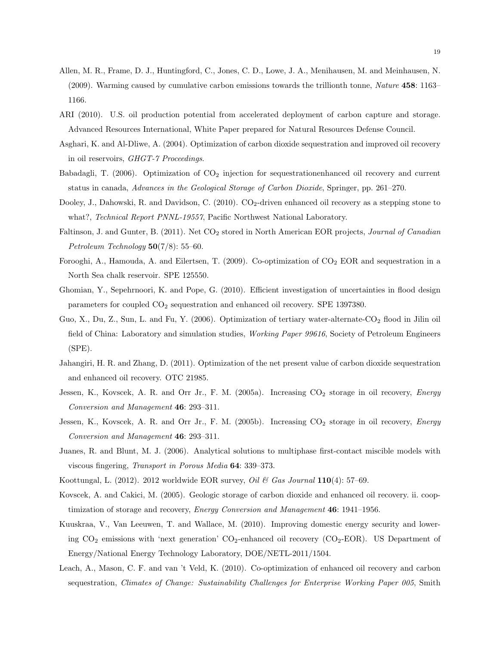- Allen, M. R., Frame, D. J., Huntingford, C., Jones, C. D., Lowe, J. A., Menihausen, M. and Meinhausen, N. (2009). Warming caused by cumulative carbon emissions towards the trillionth tonne, Nature 458: 1163– 1166.
- ARI (2010). U.S. oil production potential from accelerated deployment of carbon capture and storage. Advanced Resources International, White Paper prepared for Natural Resources Defense Council.
- Asghari, K. and Al-Dliwe, A. (2004). Optimization of carbon dioxide sequestration and improved oil recovery in oil reservoirs, GHGT-7 Proceedings.
- Babadagli, T. (2006). Optimization of  $CO<sub>2</sub>$  injection for sequestrationenhanced oil recovery and current status in canada, Advances in the Geological Storage of Carbon Dioxide, Springer, pp. 261–270.
- Dooley, J., Dahowski, R. and Davidson, C. (2010). CO<sub>2</sub>-driven enhanced oil recovery as a stepping stone to what?, Technical Report PNNL-19557, Pacific Northwest National Laboratory.
- Faltinson, J. and Gunter, B. (2011). Net CO<sub>2</sub> stored in North American EOR projects, Journal of Canadian Petroleum Technology  $50(7/8)$ : 55–60.
- Forooghi, A., Hamouda, A. and Eilertsen, T. (2009). Co-optimization of  $CO<sub>2</sub>$  EOR and sequestration in a North Sea chalk reservoir. SPE 125550.
- Ghomian, Y., Sepehrnoori, K. and Pope, G. (2010). Efficient investigation of uncertainties in flood design parameters for coupled  $CO<sub>2</sub>$  sequestration and enhanced oil recovery. SPE 1397380.
- Guo, X., Du, Z., Sun, L. and Fu, Y. (2006). Optimization of tertiary water-alternate-CO<sub>2</sub> flood in Jilin oil field of China: Laboratory and simulation studies, Working Paper 99616, Society of Petroleum Engineers (SPE).
- Jahangiri, H. R. and Zhang, D. (2011). Optimization of the net present value of carbon dioxide sequestration and enhanced oil recovery. OTC 21985.
- Jessen, K., Kovscek, A. R. and Orr Jr., F. M. (2005a). Increasing  $CO_2$  storage in oil recovery, *Energy* Conversion and Management 46: 293–311.
- Jessen, K., Kovscek, A. R. and Orr Jr., F. M. (2005b). Increasing  $CO_2$  storage in oil recovery, *Energy* Conversion and Management 46: 293–311.
- Juanes, R. and Blunt, M. J. (2006). Analytical solutions to multiphase first-contact miscible models with viscous fingering, Transport in Porous Media 64: 339–373.
- Koottungal, L. (2012). 2012 worldwide EOR survey, *Oil & Gas Journal*  $110(4)$ : 57–69.
- Kovscek, A. and Cakici, M. (2005). Geologic storage of carbon dioxide and enhanced oil recovery. ii. cooptimization of storage and recovery, *Energy Conversion and Management* 46: 1941–1956.
- Kuuskraa, V., Van Leeuwen, T. and Wallace, M. (2010). Improving domestic energy security and lowering  $CO_2$  emissions with 'next generation'  $CO_2$ -enhanced oil recovery  $(CO_2$ -EOR). US Department of Energy/National Energy Technology Laboratory, DOE/NETL-2011/1504.
- Leach, A., Mason, C. F. and van 't Veld, K. (2010). Co-optimization of enhanced oil recovery and carbon sequestration, *Climates of Change: Sustainability Challenges for Enterprise Working Paper 005*, Smith